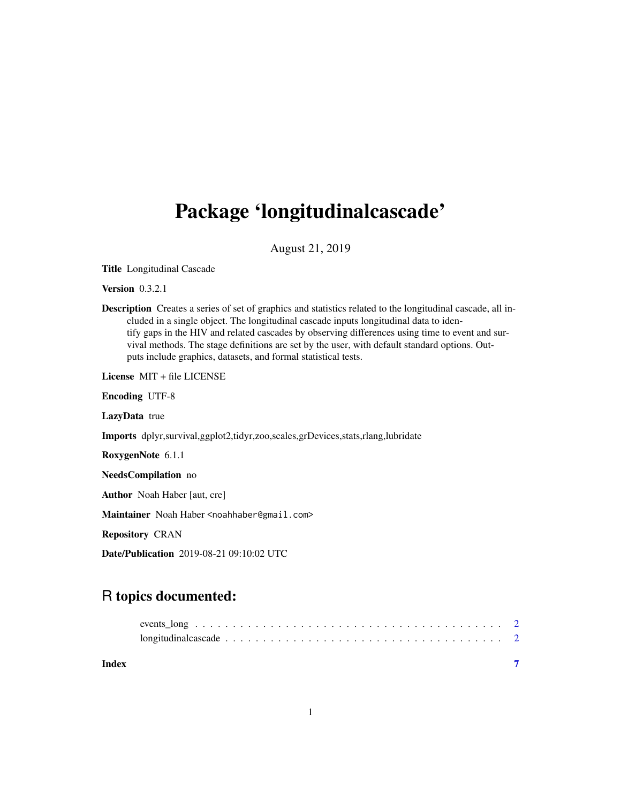## Package 'longitudinalcascade'

August 21, 2019

Title Longitudinal Cascade

Version 0.3.2.1

Description Creates a series of set of graphics and statistics related to the longitudinal cascade, all included in a single object. The longitudinal cascade inputs longitudinal data to identify gaps in the HIV and related cascades by observing differences using time to event and survival methods. The stage definitions are set by the user, with default standard options. Outputs include graphics, datasets, and formal statistical tests.

License MIT + file LICENSE

Encoding UTF-8

LazyData true

Imports dplyr,survival,ggplot2,tidyr,zoo,scales,grDevices,stats,rlang,lubridate

RoxygenNote 6.1.1

NeedsCompilation no

Author Noah Haber [aut, cre]

Maintainer Noah Haber <noahhaber@gmail.com>

Repository CRAN

Date/Publication 2019-08-21 09:10:02 UTC

### R topics documented:

**Index** [7](#page-6-0) **7**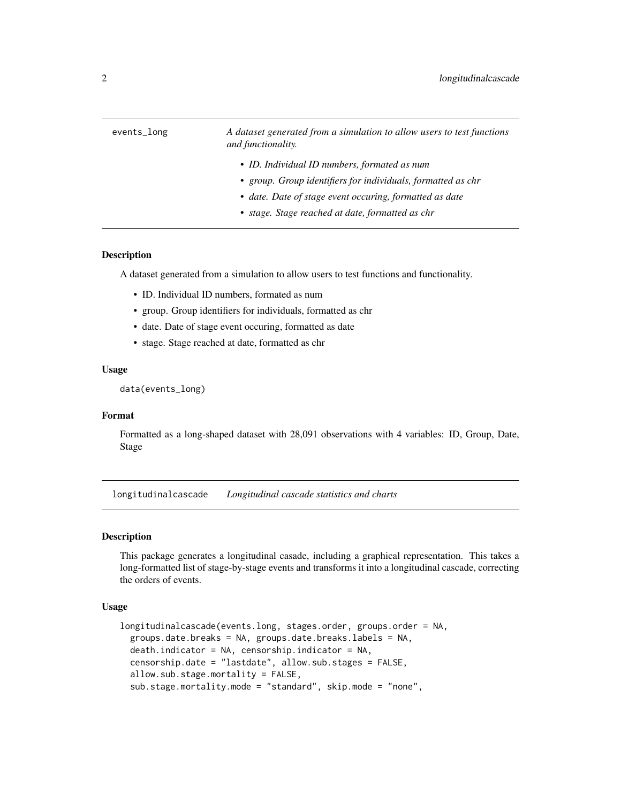<span id="page-1-0"></span>

| events_long | A dataset generated from a simulation to allow users to test functions<br>and functionality.                 |
|-------------|--------------------------------------------------------------------------------------------------------------|
|             | • ID. Individual ID numbers, formated as num<br>• group. Group identifiers for individuals, formatted as chr |
|             | • date. Date of stage event occuring, formatted as date<br>• stage. Stage reached at date, formatted as chr  |

#### Description

A dataset generated from a simulation to allow users to test functions and functionality.

- ID. Individual ID numbers, formated as num
- group. Group identifiers for individuals, formatted as chr
- date. Date of stage event occuring, formatted as date
- stage. Stage reached at date, formatted as chr

#### Usage

data(events\_long)

#### Format

Formatted as a long-shaped dataset with 28,091 observations with 4 variables: ID, Group, Date, Stage

longitudinalcascade *Longitudinal cascade statistics and charts*

#### Description

This package generates a longitudinal casade, including a graphical representation. This takes a long-formatted list of stage-by-stage events and transforms it into a longitudinal cascade, correcting the orders of events.

#### Usage

```
longitudinalcascade(events.long, stages.order, groups.order = NA,
  groups.date.breaks = NA, groups.date.breaks.labels = NA,
  death.indicator = NA, censorship.indicator = NA,censorship.date = "lastdate", allow.sub.stages = FALSE,
  allow.sub.stage.mortality = FALSE,
  sub.stage.mortality.mode = "standard", skip.mode = "none",
```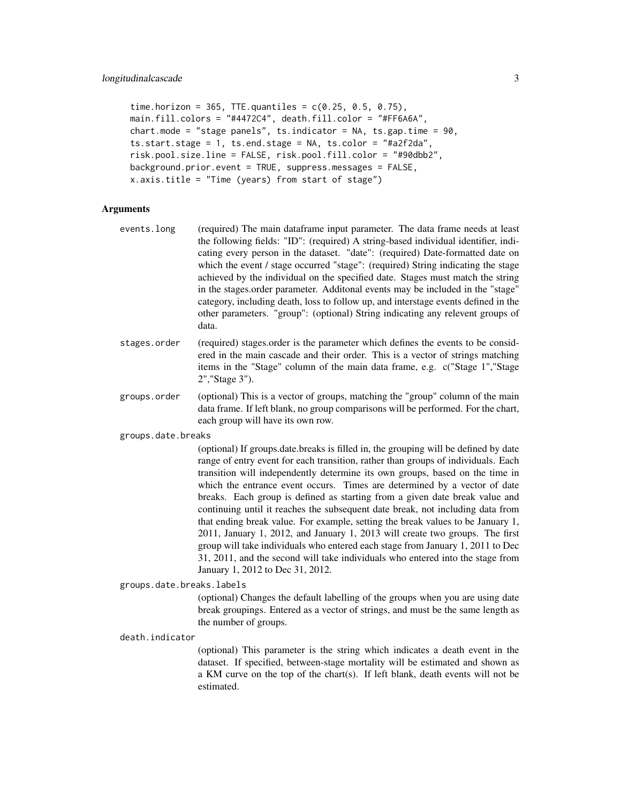```
time.horizon = 365, TTE.quantiles = c(0.25, 0.5, 0.75),
main.fill.colors = "#4472C4", death.fill.color = "#FF6A6A",
chart.mode = "stage panels", ts.indicator = NA, ts.gap.time = 90,
ts.start.stage = 1, ts.end.stage = NA, ts.color = "#a2f2da",
risk.pool.size.line = FALSE, risk.pool.fill.color = "#90dbb2",
background.prior.event = TRUE, suppress.messages = FALSE,
x.axis.title = "Time (years) from start of stage")
```
#### Arguments

- events.long (required) The main dataframe input parameter. The data frame needs at least the following fields: "ID": (required) A string-based individual identifier, indicating every person in the dataset. "date": (required) Date-formatted date on which the event / stage occurred "stage": (required) String indicating the stage achieved by the individual on the specified date. Stages must match the string in the stages.order parameter. Additonal events may be included in the "stage" category, including death, loss to follow up, and interstage events defined in the other parameters. "group": (optional) String indicating any relevent groups of data.
- stages.order (required) stages.order is the parameter which defines the events to be considered in the main cascade and their order. This is a vector of strings matching items in the "Stage" column of the main data frame, e.g. c("Stage 1","Stage 2","Stage 3").
- groups.order (optional) This is a vector of groups, matching the "group" column of the main data frame. If left blank, no group comparisons will be performed. For the chart, each group will have its own row.
- groups.date.breaks

(optional) If groups.date.breaks is filled in, the grouping will be defined by date range of entry event for each transition, rather than groups of individuals. Each transition will independently determine its own groups, based on the time in which the entrance event occurs. Times are determined by a vector of date breaks. Each group is defined as starting from a given date break value and continuing until it reaches the subsequent date break, not including data from that ending break value. For example, setting the break values to be January 1, 2011, January 1, 2012, and January 1, 2013 will create two groups. The first group will take individuals who entered each stage from January 1, 2011 to Dec 31, 2011, and the second will take individuals who entered into the stage from January 1, 2012 to Dec 31, 2012.

groups.date.breaks.labels

(optional) Changes the default labelling of the groups when you are using date break groupings. Entered as a vector of strings, and must be the same length as the number of groups.

death.indicator

(optional) This parameter is the string which indicates a death event in the dataset. If specified, between-stage mortality will be estimated and shown as a KM curve on the top of the chart(s). If left blank, death events will not be estimated.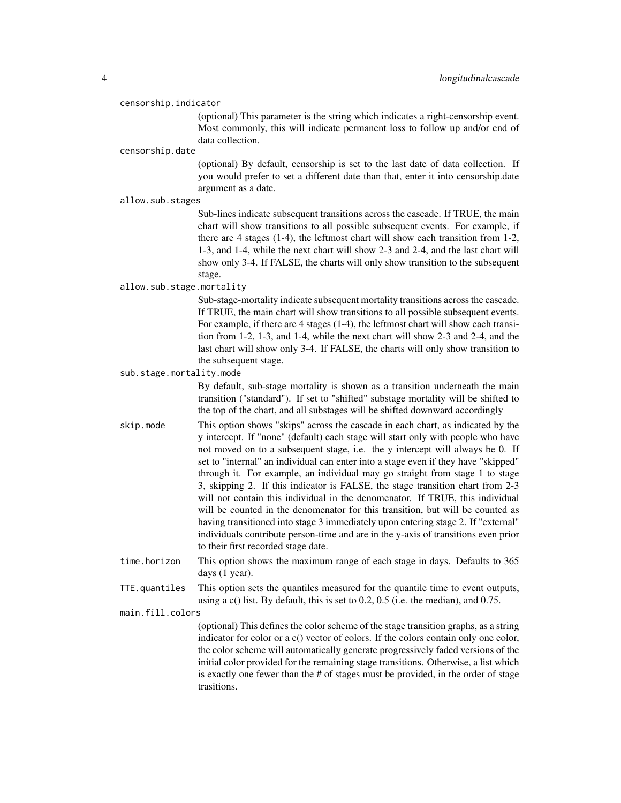#### censorship.indicator

(optional) This parameter is the string which indicates a right-censorship event. Most commonly, this will indicate permanent loss to follow up and/or end of data collection.

#### censorship.date

(optional) By default, censorship is set to the last date of data collection. If you would prefer to set a different date than that, enter it into censorship.date argument as a date.

#### allow.sub.stages

Sub-lines indicate subsequent transitions across the cascade. If TRUE, the main chart will show transitions to all possible subsequent events. For example, if there are 4 stages (1-4), the leftmost chart will show each transition from 1-2, 1-3, and 1-4, while the next chart will show 2-3 and 2-4, and the last chart will show only 3-4. If FALSE, the charts will only show transition to the subsequent stage.

#### allow.sub.stage.mortality

Sub-stage-mortality indicate subsequent mortality transitions across the cascade. If TRUE, the main chart will show transitions to all possible subsequent events. For example, if there are 4 stages (1-4), the leftmost chart will show each transition from 1-2, 1-3, and 1-4, while the next chart will show 2-3 and 2-4, and the last chart will show only 3-4. If FALSE, the charts will only show transition to the subsequent stage.

sub.stage.mortality.mode

By default, sub-stage mortality is shown as a transition underneath the main transition ("standard"). If set to "shifted" substage mortality will be shifted to the top of the chart, and all substages will be shifted downward accordingly

- skip.mode This option shows "skips" across the cascade in each chart, as indicated by the y intercept. If "none" (default) each stage will start only with people who have not moved on to a subsequent stage, i.e. the y intercept will always be 0. If set to "internal" an individual can enter into a stage even if they have "skipped" through it. For example, an individual may go straight from stage 1 to stage 3, skipping 2. If this indicator is FALSE, the stage transition chart from 2-3 will not contain this individual in the denomenator. If TRUE, this individual will be counted in the denomenator for this transition, but will be counted as having transitioned into stage 3 immediately upon entering stage 2. If "external" individuals contribute person-time and are in the y-axis of transitions even prior to their first recorded stage date.
- time.horizon This option shows the maximum range of each stage in days. Defaults to 365 days (1 year).
- TTE.quantiles This option sets the quantiles measured for the quantile time to event outputs, using a c() list. By default, this is set to 0.2, 0.5 (i.e. the median), and 0.75.

#### main.fill.colors

(optional) This defines the color scheme of the stage transition graphs, as a string indicator for color or a c() vector of colors. If the colors contain only one color, the color scheme will automatically generate progressively faded versions of the initial color provided for the remaining stage transitions. Otherwise, a list which is exactly one fewer than the # of stages must be provided, in the order of stage trasitions.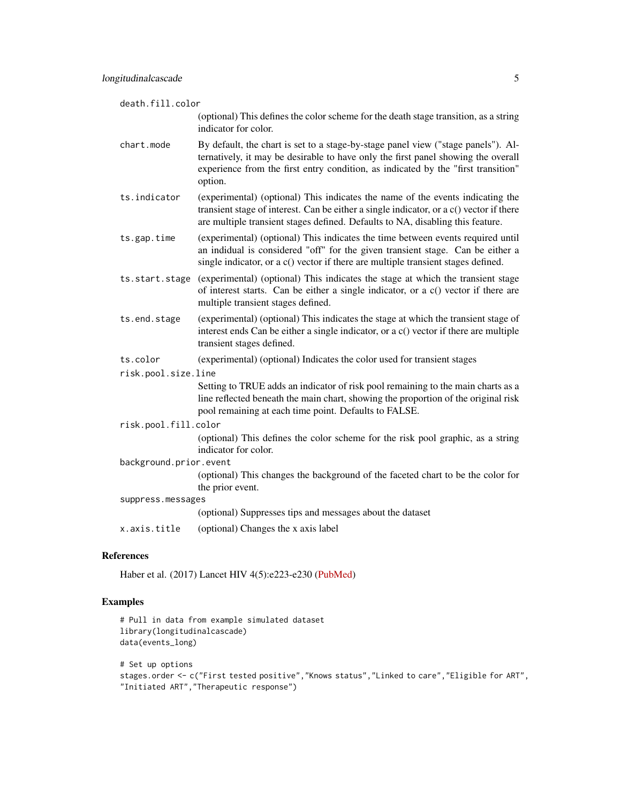death.fill.color

(optional) This defines the color scheme for the death stage transition, as a string indicator for color.

- chart.mode By default, the chart is set to a stage-by-stage panel view ("stage panels"). Alternatively, it may be desirable to have only the first panel showing the overall experience from the first entry condition, as indicated by the "first transition" option.
- ts.indicator (experimental) (optional) This indicates the name of the events indicating the transient stage of interest. Can be either a single indicator, or a c() vector if there are multiple transient stages defined. Defaults to NA, disabling this feature.
- ts.gap.time (experimental) (optional) This indicates the time between events required until an indidual is considered "off" for the given transient stage. Can be either a single indicator, or a c() vector if there are multiple transient stages defined.
- ts.start.stage (experimental) (optional) This indicates the stage at which the transient stage of interest starts. Can be either a single indicator, or a c() vector if there are multiple transient stages defined.
- ts.end.stage (experimental) (optional) This indicates the stage at which the transient stage of interest ends Can be either a single indicator, or a c() vector if there are multiple transient stages defined.
- ts.color (experimental) (optional) Indicates the color used for transient stages
- risk.pool.size.line

Setting to TRUE adds an indicator of risk pool remaining to the main charts as a line reflected beneath the main chart, showing the proportion of the original risk pool remaining at each time point. Defaults to FALSE.

risk.pool.fill.color

(optional) This defines the color scheme for the risk pool graphic, as a string indicator for color.

background.prior.event

(optional) This changes the background of the faceted chart to be the color for the prior event.

- suppress.messages
	- (optional) Suppresses tips and messages about the dataset

x.axis.title (optional) Changes the x axis label

#### References

Haber et al. (2017) Lancet HIV 4(5):e223-e230 [\(PubMed\)](https://www.ncbi.nlm.nih.gov/pubmed/28153470)

#### Examples

```
# Pull in data from example simulated dataset
library(longitudinalcascade)
data(events_long)
```

```
# Set up options
stages.order <- c("First tested positive","Knows status","Linked to care","Eligible for ART",
"Initiated ART","Therapeutic response")
```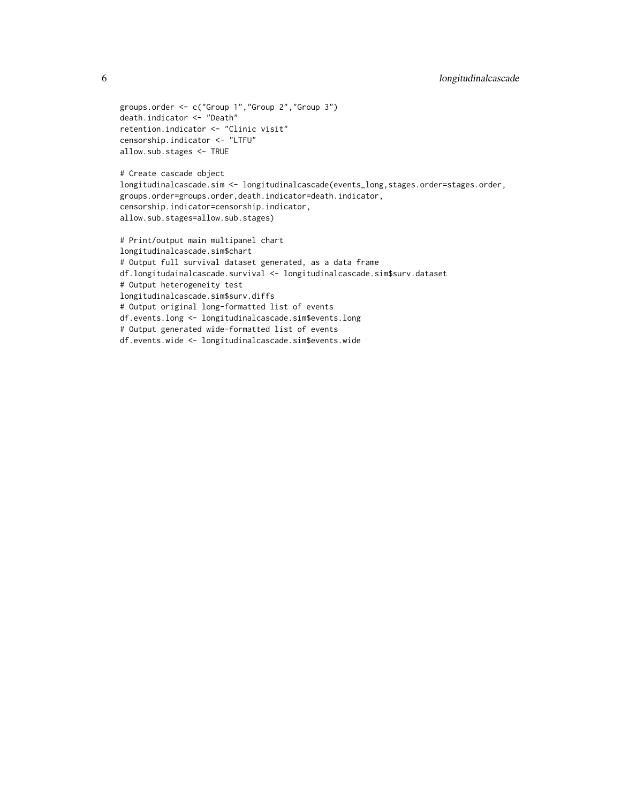```
groups.order <- c("Group 1","Group 2","Group 3")
death.indicator <- "Death"
retention.indicator <- "Clinic visit"
censorship.indicator <- "LTFU"
allow.sub.stages <- TRUE
# Create cascade object
longitudinalcascade.sim <- longitudinalcascade(events_long,stages.order=stages.order,
groups.order=groups.order,death.indicator=death.indicator,
censorship.indicator=censorship.indicator,
allow.sub.stages=allow.sub.stages)
# Print/output main multipanel chart
longitudinalcascade.sim$chart
# Output full survival dataset generated, as a data frame
df.longitudainalcascade.survival <- longitudinalcascade.sim$surv.dataset
# Output heterogeneity test
longitudinalcascade.sim$surv.diffs
# Output original long-formatted list of events
df.events.long <- longitudinalcascade.sim$events.long
# Output generated wide-formatted list of events
df.events.wide <- longitudinalcascade.sim$events.wide
```